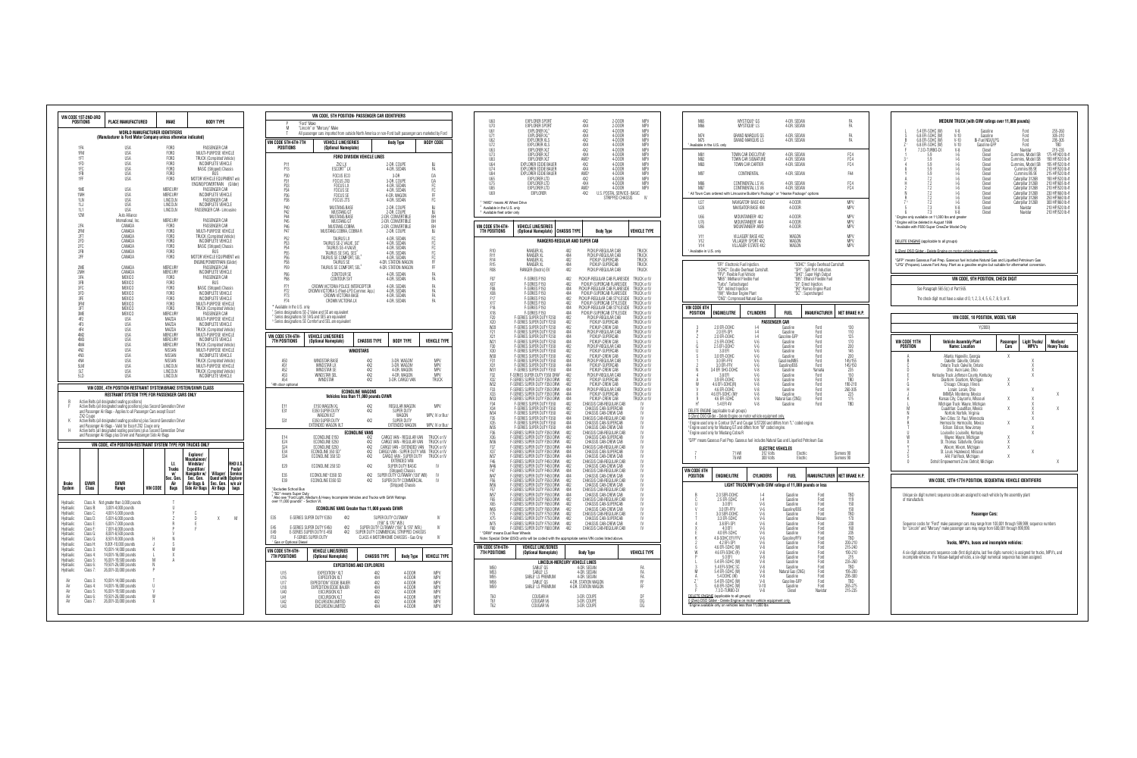|                                                                                                      | <b>POSITIONS</b>     | VIN CODE 1ST-2ND-3RD<br><b>PLACE MANUFACTURED</b>                                                                                                     |          | <b>MAKF</b>                |                                  | <b>RODY TYPE</b>                         |                   |
|------------------------------------------------------------------------------------------------------|----------------------|-------------------------------------------------------------------------------------------------------------------------------------------------------|----------|----------------------------|----------------------------------|------------------------------------------|-------------------|
|                                                                                                      |                      | <b>WORLD MANUFACTURER IDENTIFIERS</b><br>(Manufacturer is Ford Motor Company unless otherwise indicated)                                              |          |                            |                                  |                                          |                   |
|                                                                                                      | 1FA                  | <b>USA</b>                                                                                                                                            |          | <b>FORD</b>                |                                  | PASSENGER CAR                            |                   |
|                                                                                                      | 1FM                  | <b>USA</b>                                                                                                                                            |          | <b>FORD</b>                |                                  | MULTI-PURPOSE VEHICLE                    |                   |
|                                                                                                      | 1FT                  | <b>USA</b>                                                                                                                                            |          | <b>FORD</b>                |                                  | TRUCK (Completed Vehicle)                |                   |
|                                                                                                      | 1FD                  | <b>USA</b>                                                                                                                                            |          | <b>FORD</b>                |                                  | INCOMPLETE VEHICLE                       |                   |
|                                                                                                      | 1FC                  | <b>USA</b>                                                                                                                                            |          | <b>FORD</b>                |                                  | <b>BASIC (Stripped) Chassis</b>          |                   |
|                                                                                                      | 1FB                  | <b>USA</b>                                                                                                                                            |          | <b>FORD</b>                |                                  | BUS                                      |                   |
|                                                                                                      | 1FF                  | <b>USA</b>                                                                                                                                            |          | <b>FORD</b>                |                                  | MOTOR VEHICLE EQUIPMENT w/o              |                   |
|                                                                                                      |                      |                                                                                                                                                       |          |                            | ENGINE/POWERTRAIN                |                                          | (Glider)          |
|                                                                                                      | 1MF                  | <b>USA</b>                                                                                                                                            |          | <b>MERCURY</b>             |                                  | PASSENGER CAR                            |                   |
|                                                                                                      | 1MH                  | <b>USA</b>                                                                                                                                            |          | MERCURY                    |                                  | INCOMPLETE VEHICLE                       |                   |
|                                                                                                      | 11N                  | <b>USA</b>                                                                                                                                            |          | LINCOLN                    |                                  | PASSENGER CAR                            |                   |
|                                                                                                      | 1LJ                  | <b>USA</b>                                                                                                                                            |          | LINCOLN                    |                                  | <b>INCOMPLETE VEHICLE</b>                |                   |
|                                                                                                      | 1L1                  | <b>USA</b>                                                                                                                                            |          | LINCOLN                    |                                  | PASSENGER CAR- I imousine                |                   |
|                                                                                                      | 1ZW                  | Auto Alliance                                                                                                                                         |          |                            |                                  |                                          |                   |
|                                                                                                      |                      | International, Inc.                                                                                                                                   |          | <b>MERCURY</b>             |                                  | PASSENGER CAR                            |                   |
|                                                                                                      | 2FA                  | CANADA                                                                                                                                                |          | <b>FORD</b>                |                                  | PASSENGER CAR                            |                   |
|                                                                                                      | 2FM                  | CANADA                                                                                                                                                |          | <b>FORD</b>                |                                  | MULTI-PURPOSE VEHICLE                    |                   |
|                                                                                                      | 2FT                  | CANADA                                                                                                                                                |          | <b>FORD</b>                |                                  | <b>TRUCK (Completed Vehicle)</b>         |                   |
|                                                                                                      | 2FD                  | CANADA                                                                                                                                                |          | <b>FORD</b>                |                                  | INCOMPLETE VEHICLE                       |                   |
|                                                                                                      | 2FC                  | CANADA                                                                                                                                                |          | <b>FORD</b>                |                                  | <b>BASIC (Stripped) Chassis</b>          |                   |
|                                                                                                      | 2FB                  | CANADA                                                                                                                                                |          | <b>FORD</b>                |                                  | BUS                                      |                   |
|                                                                                                      | 2FF                  | CANADA                                                                                                                                                |          | <b>FORD</b>                |                                  | MOTOR VEHICLE EQUIPMENT w/o              |                   |
|                                                                                                      |                      |                                                                                                                                                       |          |                            |                                  | ENGINE/POWERTRAIN (Glider)               |                   |
|                                                                                                      | 2ME                  | CANADA                                                                                                                                                |          | <b>MERCURY</b>             |                                  | PASSENGER CAR                            |                   |
|                                                                                                      | 2MH                  | CANADA                                                                                                                                                |          | MERCURY                    |                                  | INCOMPLETE VEHICLE                       |                   |
|                                                                                                      | 3FA                  | <b>MEXICO</b>                                                                                                                                         |          | <b>FORD</b>                |                                  | PASSENGER CAR                            |                   |
|                                                                                                      | 3FB                  | <b>MEXICO</b>                                                                                                                                         |          | <b>FORD</b><br>FORD        |                                  | <b>BUS</b>                               |                   |
|                                                                                                      | 3FC                  | <b>MEXICO</b>                                                                                                                                         |          |                            |                                  | <b>BASIC (Stripped) Chassis</b>          |                   |
|                                                                                                      | 3FD<br>3FF           | <b>MEXICO</b><br><b>MEXICO</b>                                                                                                                        |          | <b>FORD</b><br><b>FORD</b> |                                  | INCOMPLETE VEHICLE<br>INCOMPLETE VEHICLE |                   |
|                                                                                                      | 3FM                  | <b>MEXICO</b>                                                                                                                                         |          | <b>FORD</b>                |                                  | MULTI-PURPOSE VEHICLE                    |                   |
|                                                                                                      | 3FT                  | <b>MEXICO</b>                                                                                                                                         |          | <b>FORD</b>                |                                  | <b>TRUCK (Completed Vehicle)</b>         |                   |
|                                                                                                      | 3ME                  | <b>MFXICO</b>                                                                                                                                         |          | MERCURY                    |                                  | PASSENGER CAR                            |                   |
|                                                                                                      | 4F <sub>2</sub>      | <b>USA</b>                                                                                                                                            |          | MAZDA                      |                                  | MULTI-PURPOSE VEHICLE                    |                   |
|                                                                                                      | 4F3                  | <b>USA</b>                                                                                                                                            |          | MA7DA                      |                                  | INCOMPLETE VEHICLE                       |                   |
|                                                                                                      | 4F4                  | <b>USA</b>                                                                                                                                            |          | MAZDA                      |                                  | <b>TRUCK (Completed Vehicle)</b>         |                   |
|                                                                                                      | 4M2                  | <b>USA</b>                                                                                                                                            |          | <b>MERCURY</b>             |                                  | MULTI-PURPOSE VEHICLE                    |                   |
|                                                                                                      | 4M3                  | <b>USA</b>                                                                                                                                            |          | <b>MERCURY</b>             |                                  | INCOMPLETE VEHICLE                       |                   |
|                                                                                                      | 4M4                  | <b>USA</b>                                                                                                                                            |          | <b>MERCURY</b>             |                                  | <b>TRUCK (Completed Vehicle)</b>         |                   |
|                                                                                                      | 4N2                  | <b>USA</b>                                                                                                                                            |          | NISSAN                     |                                  | MULTI-PURPOSE VEHICLE                    |                   |
|                                                                                                      | 4N3                  | <b>USA</b>                                                                                                                                            |          | NISSAN                     |                                  | INCOMPLETE VEHICLE                       |                   |
|                                                                                                      | 4N4                  | <b>USA</b>                                                                                                                                            | NISSAN   |                            |                                  | <b>TRUCK (Completed Vehicle)</b>         |                   |
|                                                                                                      | 5LM                  | <b>USA</b>                                                                                                                                            | LINCOLN  |                            |                                  | MULTI-PURPOSE VEHICLE                    |                   |
|                                                                                                      | 5LT                  | <b>USA</b>                                                                                                                                            | LINCOLN  |                            | <b>TRUCK (Completed Vehicle)</b> |                                          |                   |
|                                                                                                      | 5I <sub>D</sub>      | <b>USA</b>                                                                                                                                            |          | LINCOLN                    |                                  | <b>INCOMPLETE VEHICLE</b>                |                   |
|                                                                                                      |                      | VIN CODE, 4TH POSITION-RESTRAINT SYSTEM/BRAKE SYSTEM/GVWR CLASS                                                                                       |          |                            |                                  |                                          |                   |
| B                                                                                                    |                      | RESTRAINT SYSTEM TYPE FOR PASSENGER CARS ONLY<br>Active Belts (all designated seating positions)                                                      |          |                            |                                  |                                          |                   |
| F                                                                                                    | ZX2 Coupe            | Active Belts (all designated seating positions) plus Second Generation Driver<br>and Passenger Air Bags - Applies to all Passenger Cars except Escort |          |                            |                                  |                                          |                   |
| K                                                                                                    |                      | Active Belts (all designated seating positions) plus Second Generation Driver                                                                         |          |                            |                                  |                                          |                   |
|                                                                                                      |                      | and Passenger Air Bags - Valid for Escort ZX2 Coupe only                                                                                              |          |                            |                                  |                                          |                   |
| Н                                                                                                    |                      |                                                                                                                                                       |          |                            |                                  |                                          |                   |
|                                                                                                      |                      | Active belts (all designated seating positions) plus Second Generation Driver                                                                         |          |                            |                                  |                                          |                   |
|                                                                                                      |                      | and Passenger Air Bags plus Driver and Passenger Side Air Bags                                                                                        |          |                            |                                  |                                          |                   |
|                                                                                                      |                      | VIN CODE, 4TH POSITION-RESTRAINT SYSTEM TYPE FOR TRUCKS ONLY                                                                                          |          |                            | Explorer/                        |                                          |                   |
|                                                                                                      |                      |                                                                                                                                                       |          |                            | Mountaineer/                     |                                          |                   |
|                                                                                                      |                      |                                                                                                                                                       |          | Lt.                        | Windstar/                        |                                          | RHD U.S.          |
|                                                                                                      |                      |                                                                                                                                                       |          | <b>Trucks</b><br>W/        | Expedition/<br>Navigator w/      |                                          | Postal<br>Service |
|                                                                                                      |                      |                                                                                                                                                       |          | Sec. Gen.                  | Sec. Gen.                        | Villager/<br>Quest with                  | Explorer          |
| <b>Brake</b>                                                                                         | GVWR                 | GVWR                                                                                                                                                  |          | Air                        | Air Bags &                       | Sec. Gen.                                | w/o air           |
|                                                                                                      | Class                | Range                                                                                                                                                 | VIN CODE | <b>Bags</b>                | Side Air Bags                    | <b>Air Bags</b>                          | bags              |
| System<br>Hydraulic                                                                                  | Class A:             | Not greater than 3,000 pounds                                                                                                                         |          | T                          |                                  |                                          |                   |
|                                                                                                      | Class B:             | 3,001-4,000 pounds                                                                                                                                    |          | U                          |                                  |                                          |                   |
|                                                                                                      | Class C:             | 4,001-5,000 pounds                                                                                                                                    |          | Y                          | C                                |                                          |                   |
|                                                                                                      | Class D:             | 5,001-6,000 pounds                                                                                                                                    |          | Z                          | D                                | Χ                                        | M                 |
|                                                                                                      | Class E:<br>Class F: | 6,001-7,000 pounds                                                                                                                                    |          | R<br>P                     | E<br>F                           |                                          |                   |
|                                                                                                      |                      | 7,001-8,000 pounds                                                                                                                                    |          | V                          |                                  |                                          |                   |
|                                                                                                      | Class G:<br>Class G: | 8,001-8,500 pounds<br>8,501-9,000 pounds                                                                                                              | Н        | N                          |                                  |                                          |                   |
| Hydraulic<br>Hydraulic<br>Hydraulic<br>Hydraulic<br>Hydraulic<br>Hydraulic<br>Hydraulic<br>Hydraulic | Class H:             |                                                                                                                                                       | J        | S                          |                                  |                                          |                   |
|                                                                                                      | Class 3:             | 9,001-10,000 pounds                                                                                                                                   | К        | W                          |                                  |                                          |                   |
|                                                                                                      | Class 4:             | 10,001-14,000 pounds<br>14,001-16,000 pounds                                                                                                          | L        | X                          |                                  |                                          |                   |
|                                                                                                      | Class 5:             | 16,001-19,500 pounds                                                                                                                                  | M        | A                          |                                  |                                          |                   |
|                                                                                                      | Class 6:             | 19,501-26,000 pounds                                                                                                                                  | Ν        |                            |                                  |                                          |                   |
|                                                                                                      | Class 7:             | 26,001-33,000 pounds                                                                                                                                  | P        |                            |                                  |                                          |                   |
| Hydraulic<br>Hydraulic<br>Hydraulic<br>Hydraulic<br>Hydraulic                                        |                      |                                                                                                                                                       |          |                            |                                  |                                          |                   |
| Air                                                                                                  | Class 3:             | 10,001-14,000 pounds                                                                                                                                  | T        |                            |                                  |                                          |                   |
| Air                                                                                                  | Class 4:             | 14,001-16,000 pounds                                                                                                                                  | U        |                            |                                  |                                          |                   |
| Air<br>Air                                                                                           | Class 5:<br>Class 6: | 16,001-19,500 pounds<br>19,501-26,000 pounds                                                                                                          | V<br>W   |                            |                                  |                                          |                   |

| M                                                                      | "Ford" Make<br>"Lincoln" or "Mercury" Make                                                                                                                                           |                                    | VIN CODE, 5TH POSITION- PASSENGER CAR IDENTIFIERS |                                                                                |                                          |
|------------------------------------------------------------------------|--------------------------------------------------------------------------------------------------------------------------------------------------------------------------------------|------------------------------------|---------------------------------------------------|--------------------------------------------------------------------------------|------------------------------------------|
| Τ                                                                      | All passenger cars imported from outside North America or non-Ford built passenger cars marketed by Ford                                                                             |                                    |                                                   |                                                                                |                                          |
| VIN CODE 5TH-6TH-7TH<br><b>POSITIONS</b>                               | <b>VEHICLE LINE/SERIES</b><br>(Optional Nameplate)                                                                                                                                   |                                    |                                                   | <b>Body Type</b>                                                               | <b>BODY CODE</b>                         |
|                                                                        |                                                                                                                                                                                      | <b>FORD DIVISION VEHICLE LINES</b> |                                                   |                                                                                |                                          |
| P11<br>P13                                                             | ZX2 LX<br>ESCORT* LX                                                                                                                                                                 |                                    |                                                   | 2-DR. COUPE<br>4-DR. SEDAN                                                     | <b>BJ</b><br>FA                          |
| P30                                                                    | <b>FOCUS ECO</b>                                                                                                                                                                     |                                    |                                                   | 3-DR                                                                           | DA                                       |
| P31<br>P33                                                             | FOCUS ZX3<br><b>FOCUS LX</b>                                                                                                                                                         |                                    |                                                   | 3-DR. COUPE<br>4-DR. SEDAN                                                     | DA<br>FC                                 |
| P34<br>P36                                                             | <b>FOCUS SE</b><br><b>FOCUS SE</b>                                                                                                                                                   |                                    |                                                   | 4-DR. SEDAN<br>4-DR. WAGON                                                     | FC<br>FF                                 |
| P38                                                                    | <b>FOCUS ZTS</b>                                                                                                                                                                     |                                    |                                                   | 4-DR. SEDAN                                                                    | FC                                       |
| P40<br>P42                                                             | MUSTANG BASE<br>MUSTANG GT                                                                                                                                                           |                                    |                                                   | 2-DR. COUPE<br>2-DR. COUPE                                                     | <b>BJ</b><br><b>BJ</b>                   |
| P44                                                                    | MUSTANG BASE                                                                                                                                                                         |                                    |                                                   | 2-DR. CONVERTIBLE                                                              | BH                                       |
| P45<br>P46                                                             | MUSTANG GT<br>MUSTANG COBRA                                                                                                                                                          |                                    |                                                   | 2-DR. CONVERTIBLE<br>2-DR. CONVERTIBLE                                         | BH<br>BH                                 |
| P47                                                                    | MUSTANG COBRA, COBRA R                                                                                                                                                               |                                    |                                                   | 2-DR. COUPE                                                                    | BJ                                       |
| P52<br>P53                                                             | <b>TAURUS LX</b><br>TAURUS SE-2 VALVE, SE <sup>1</sup>                                                                                                                               |                                    |                                                   | 4-DR. SEDAN<br>4-DR. SEDAN                                                     | FC<br>FC                                 |
| P <sub>54</sub>                                                        | TAURUS SE-4 VALVE<br>TAURUS SE SVG, SES <sup>2</sup>                                                                                                                                 |                                    |                                                   | 4-DR. SEDAN                                                                    | FC                                       |
| P <sub>55</sub><br>P <sub>56</sub>                                     | TAURUS SE COMFORT, SEL <sup>3</sup>                                                                                                                                                  |                                    |                                                   | 4-DR. SEDAN<br>4-DR. SEDAN                                                     | FC<br>FC                                 |
| P <sub>58</sub><br>P <sub>59</sub>                                     | TAURUS SE<br>TAURUS SE COMFORT, SEL <sup>3</sup>                                                                                                                                     |                                    |                                                   | 4-DR. STATION WAGON<br>4-DR. STATION WAGON                                     | FF<br>FF                                 |
| P66<br>P68                                                             | <b>CONTOUR SE</b><br>CONTOUR SVT                                                                                                                                                     |                                    |                                                   | 4-DR. SEDAN<br>4-DR. SEDAN                                                     | FA<br>FA                                 |
| P71                                                                    | CROWN VICTORIA POLICE INTERCEPTOR                                                                                                                                                    |                                    |                                                   | 4-DR. SEDAN<br>4-DR. SEDAN                                                     | FA                                       |
| P72<br>P73                                                             | CROWN VICTORIA S (Fleet-LPO:Commer. App.)<br>CROWN VICTORIA BASE                                                                                                                     |                                    |                                                   | 4-DR. SEDAN                                                                    | FA<br>FA                                 |
| P74                                                                    | CROWN VICTORIA LX                                                                                                                                                                    |                                    |                                                   | 4-DR. SEDAN                                                                    | FA                                       |
| Available in the U.S. only                                             | <sup>1</sup> Series designations SE-2 Valve and SE are equivalent<br><sup>2</sup> Series designations SE SVG and SES are equivalent                                                  |                                    |                                                   |                                                                                |                                          |
|                                                                        | <sup>3</sup> Series designations SE Comfort and SEL are equivalent                                                                                                                   |                                    |                                                   |                                                                                |                                          |
| VIN CODE 5TH-6TH-<br><b>7TH POSITIONS</b>                              | <b>VEHICLE LINE/SERIES</b><br>(Optional Nameplate)                                                                                                                                   | <b>CHASSIS TYPE</b>                |                                                   | <b>BODY TYPE</b>                                                               | <b>VEHICLE TYPE</b>                      |
|                                                                        |                                                                                                                                                                                      | <b>WINDSTARS</b>                   |                                                   |                                                                                |                                          |
| A50                                                                    | <b>WINDSTAR BASE</b>                                                                                                                                                                 | 4X2                                |                                                   | 3-DR. WAGON'                                                                   | <b>MPV</b>                               |
| A51<br>A52                                                             | WINDSTAR IX<br><b>WINDSTAR SE</b>                                                                                                                                                    | 4X2<br>4X2                         |                                                   | 3-DR. WAGON1<br>4-DR. WAGON                                                    | <b>MPV</b><br><b>MPV</b>                 |
| A53                                                                    | <b>WINDSTAR SEL</b>                                                                                                                                                                  | 4X2                                |                                                   | 4-DR. WAGON                                                                    | MPV                                      |
| A54<br>4th door optional                                               | WINDSTAR                                                                                                                                                                             | 4X2                                |                                                   | 3-DR. CARGO VAN                                                                | <b>TRUCK</b>                             |
|                                                                        | Vehicles less than 11,000 pounds GVWR                                                                                                                                                | <b>ECONOLINE WAGONS</b>            |                                                   |                                                                                |                                          |
| E11                                                                    | E150 WAGON XL                                                                                                                                                                        | 4X2                                |                                                   | REGULAR WAGON                                                                  | <b>MPV</b>                               |
| E31                                                                    | E350 SUPER DUTY<br>WAGON XLT                                                                                                                                                         | 4X2                                |                                                   | SUPER DUTY<br>WAGON                                                            | MPV, IV or Bus <sup>1</sup>              |
| S31                                                                    | E350 SUPER DUTY<br>EXTENDED WAGON XLT                                                                                                                                                | 4X2                                |                                                   | SUPER DUTY<br>EXTENDED WAGON                                                   | MPV, IV or Bus <sup>1</sup>              |
|                                                                        |                                                                                                                                                                                      | <b>ECONOLINE VANS</b>              |                                                   |                                                                                |                                          |
| E14                                                                    | ECONOLINE E150                                                                                                                                                                       |                                    |                                                   |                                                                                |                                          |
|                                                                        |                                                                                                                                                                                      | 4X2                                |                                                   | CARGO VAN - REGULAR VAN                                                        | TRUCK or IV                              |
| E24<br>S24                                                             | ECONOLINE E250<br>ECONOLINE E250                                                                                                                                                     | 4X2<br>4X2                         |                                                   | CARGO VAN - REGULAR VAN<br>CARGO VAN - EXTENDED VAN                            | TRUCK or IV<br>TRUCK or IV               |
| E34<br>S34                                                             | ECONOLINE 350 SD <sup>2</sup><br>ECONOLINE 350 SD                                                                                                                                    | 4X2<br>4X2                         |                                                   | CARGO VAN - SUPER DUTY VAN<br>CARGO VAN - SUPER DUTY                           | TRUCK or IV<br>TRUCK or IV               |
|                                                                        |                                                                                                                                                                                      |                                    |                                                   | <b>FXTENDED VAN</b>                                                            | IV                                       |
| E29                                                                    | ECONOLINE 250 SD                                                                                                                                                                     | 4X2                                |                                                   | SUPER DUTY BASIC<br>(Stripped) Chassis                                         |                                          |
| E35<br>E39                                                             | ECONOLINE <sup>3</sup> E350 SD<br>ECONOLINE E350 SD                                                                                                                                  | 4X2<br>4X2                         |                                                   | SUPER DUTY CUTAWAY (138" WB)<br>SUPER DUTY COMMERCIAL                          | IV<br>IV                                 |
|                                                                        |                                                                                                                                                                                      |                                    |                                                   | (Stripped) Chassis                                                             |                                          |
| <sup>1</sup> Excludes School Bus<br><sup>2</sup> "SD" means Super Duty |                                                                                                                                                                                      |                                    |                                                   |                                                                                |                                          |
|                                                                        | 3 Also see "Ford Light, Medium & Heavy Incomplete Vehicles and Trucks with GVW Ratings<br>over 11,000 pounds" - Section VI.<br><b>ECONOLINE VANS Greater than 11,000 pounds GVWR</b> |                                    |                                                   |                                                                                |                                          |
| E35                                                                    | E-SERIES SUPER DUTY' E350<br>4X2                                                                                                                                                     |                                    |                                                   | SUPER DUTY CUTAWAY                                                             | IV                                       |
| E45                                                                    | F-SERIES SUPER DUTY F450<br>4X2                                                                                                                                                      |                                    |                                                   | (158" & 176" W.B.)<br>SUPER DUTY CUTAWAY (158" & 176" W.B.)                    | IV                                       |
| E49<br>F53                                                             | E-SERIES SUPER DUTY E-450<br>4X2<br>F-SERIES SUPER DUTY                                                                                                                              |                                    |                                                   | SUPER DUTY COMMERCIAL STRIPPED CHASSIS<br>CLASS A MOTORHOME CHASSIS - Gas Only | IV                                       |
| <sup>1</sup> Gas or Optional Diesel<br>VIN CODE 5TH-6TH-               | <b>VEHICLE LINE/SERIES</b>                                                                                                                                                           |                                    |                                                   |                                                                                |                                          |
| <b>7TH POSITIONS</b>                                                   | (Optional Nameplate)                                                                                                                                                                 |                                    | <b>CHASSIS TYPE</b>                               | <b>Body Type</b>                                                               |                                          |
|                                                                        |                                                                                                                                                                                      | <b>EXPEDITIONS AND EXPLORERS</b>   |                                                   |                                                                                |                                          |
| U <sub>15</sub>                                                        | EXPEDITION <sup>2</sup> XLT                                                                                                                                                          |                                    | AX <sub>2</sub>                                   | 4-D00R                                                                         | MPV                                      |
| U16<br>1117                                                            | EXPEDITION XLT<br>EXPEDITION <sup>2</sup> EDDIE BAUER                                                                                                                                |                                    | 4Х4<br>4X2                                        | 4-DOOR<br>4-D00R                                                               | MPV<br>MPV                               |
| U18<br>U40                                                             | EXPEDITION EDDIE BAUER<br><b>EXCURSION XLT</b>                                                                                                                                       |                                    | 4X4<br>4X2                                        | 4-D00R<br>4-DOOR                                                               | MPV<br>MPV                               |
| U41<br>U42                                                             | <b>FXCURSION XLT</b><br><b>EXCURSION LIMITED</b>                                                                                                                                     |                                    | 4X4<br>4X2                                        | 4-D00R<br>4-D00R                                                               | <b>VEHICLE TYPE</b><br>MPV<br><b>MPV</b> |

| U60<br>U70<br>U61<br>U71<br>U62<br>U72<br>U63<br>U73<br>U83<br><b>U64</b><br>U74<br>U84<br>U65<br>U75<br>U85<br>U69<br><sup>1</sup> "AWD" means All Wheel Drive<br>Available in the U.S. only<br>Available fleet order only                                                                                                                                                                                                                                                        | <b>EXPLORER SPORT</b><br><b>EXPLORER SPORT</b><br>EXPLORER XL <sup>3</sup><br>EXPLORER XL <sup>3</sup><br><b>EXPLORER XLS</b><br>EXPLORER XLS<br>EXPLORER XLT<br><b>EXPLORER XLT</b><br>EXPLORER XLT<br>EXPLORER EDDIE BAUER<br>EXPLORER EDDIE BAUER<br>EXPLORER EDDIE BAUER<br><b>EXPLORER LTD</b><br>EXPLORER LTD<br><b>EXPLORER LTD</b><br><b>EXPLORER</b>                                                                                                                                                                                                                                                                                                                                                                                                                                                                                                                                                                                                                                                                                                                                                                                                                                                                                                                                                                                                                                                                                                                                                                                                                        |                                                                                                                                                                                                                                                                                                                                                                                 | 4X2<br>2-DOOR<br>4X4<br>2-DOOR<br>4X2<br>4-DOOR<br>4X4<br>4-DOOR<br>4X2<br>4-DOOR<br>4X4<br>4-DOOR<br>4X2<br>4-DOOR<br>4X4<br>4-DOOR<br>AWD <sup>1</sup><br>4-DOOR<br>4X2<br>4-DOOR<br>4X4<br>4-DOOR<br>AWD <sup>1</sup><br>4-DOOR<br>4X2<br>4-D00R<br>4X4<br>4-D00R<br>AWD <sup>1</sup><br>4-D00R<br>4X2<br>U.S. POSTAL SERVICE- BASIC<br>STRIPPED CHASSIS                                                                                                                                                                                                                                                                                                                                                                                                                                                                                                                                                                                                                                                                                                                                                                                                                                                                                                                                                                       | <b>MPV</b><br>MPV<br><b>MPV</b><br>MPV<br>MPV<br>MPV<br>MPV<br>MPV<br>MPV<br>MPV<br>MPV<br><b>MPV</b><br>MPV<br><b>MPV</b><br>MPV<br>IV                                                                                                                                                                                                                                                                                                                                                                                                                              |
|------------------------------------------------------------------------------------------------------------------------------------------------------------------------------------------------------------------------------------------------------------------------------------------------------------------------------------------------------------------------------------------------------------------------------------------------------------------------------------|--------------------------------------------------------------------------------------------------------------------------------------------------------------------------------------------------------------------------------------------------------------------------------------------------------------------------------------------------------------------------------------------------------------------------------------------------------------------------------------------------------------------------------------------------------------------------------------------------------------------------------------------------------------------------------------------------------------------------------------------------------------------------------------------------------------------------------------------------------------------------------------------------------------------------------------------------------------------------------------------------------------------------------------------------------------------------------------------------------------------------------------------------------------------------------------------------------------------------------------------------------------------------------------------------------------------------------------------------------------------------------------------------------------------------------------------------------------------------------------------------------------------------------------------------------------------------------------|---------------------------------------------------------------------------------------------------------------------------------------------------------------------------------------------------------------------------------------------------------------------------------------------------------------------------------------------------------------------------------|-----------------------------------------------------------------------------------------------------------------------------------------------------------------------------------------------------------------------------------------------------------------------------------------------------------------------------------------------------------------------------------------------------------------------------------------------------------------------------------------------------------------------------------------------------------------------------------------------------------------------------------------------------------------------------------------------------------------------------------------------------------------------------------------------------------------------------------------------------------------------------------------------------------------------------------------------------------------------------------------------------------------------------------------------------------------------------------------------------------------------------------------------------------------------------------------------------------------------------------------------------------------------------------------------------------------------------------|----------------------------------------------------------------------------------------------------------------------------------------------------------------------------------------------------------------------------------------------------------------------------------------------------------------------------------------------------------------------------------------------------------------------------------------------------------------------------------------------------------------------------------------------------------------------|
| VIN CODE 5TH-6TH-<br><b>7TH POSITIONS</b>                                                                                                                                                                                                                                                                                                                                                                                                                                          | <b>VEHICLE LINE/SERIES</b><br>(Optional Nameplate)                                                                                                                                                                                                                                                                                                                                                                                                                                                                                                                                                                                                                                                                                                                                                                                                                                                                                                                                                                                                                                                                                                                                                                                                                                                                                                                                                                                                                                                                                                                                   | <b>CHASSIS TYPE</b>                                                                                                                                                                                                                                                                                                                                                             | Body Type                                                                                                                                                                                                                                                                                                                                                                                                                                                                                                                                                                                                                                                                                                                                                                                                                                                                                                                                                                                                                                                                                                                                                                                                                                                                                                                         | <b>VEHICLE TYPE</b>                                                                                                                                                                                                                                                                                                                                                                                                                                                                                                                                                  |
|                                                                                                                                                                                                                                                                                                                                                                                                                                                                                    |                                                                                                                                                                                                                                                                                                                                                                                                                                                                                                                                                                                                                                                                                                                                                                                                                                                                                                                                                                                                                                                                                                                                                                                                                                                                                                                                                                                                                                                                                                                                                                                      | RANGERS-REGULAR AND SUPER CAB                                                                                                                                                                                                                                                                                                                                                   |                                                                                                                                                                                                                                                                                                                                                                                                                                                                                                                                                                                                                                                                                                                                                                                                                                                                                                                                                                                                                                                                                                                                                                                                                                                                                                                                   |                                                                                                                                                                                                                                                                                                                                                                                                                                                                                                                                                                      |
| R10<br>R11<br>R <sub>14</sub><br>R <sub>15</sub><br><b>R08</b>                                                                                                                                                                                                                                                                                                                                                                                                                     | RANGER XL<br>RANGER XL<br>RANGER XL<br><b>RANGER XL</b>                                                                                                                                                                                                                                                                                                                                                                                                                                                                                                                                                                                                                                                                                                                                                                                                                                                                                                                                                                                                                                                                                                                                                                                                                                                                                                                                                                                                                                                                                                                              | 4X2<br>4X4<br>4X2<br>4Х4<br>4X2                                                                                                                                                                                                                                                                                                                                                 | PICKUP-REGULAR CAB<br>PICKUP-REGULAR CAB<br>PICKUP-SUPERCAB<br>PICKUP-SUPERCAB<br>PICKUP-REGULAR CAB                                                                                                                                                                                                                                                                                                                                                                                                                                                                                                                                                                                                                                                                                                                                                                                                                                                                                                                                                                                                                                                                                                                                                                                                                              | TRUCK<br>TRUCK<br>TRUCK<br>TRUCK<br>TRUCK                                                                                                                                                                                                                                                                                                                                                                                                                                                                                                                            |
| F <sub>07</sub><br>X07<br>F08<br>X08<br>F17<br>X17<br>F18<br>X18<br>F <sub>20</sub><br>X20<br>W20<br>$F_{21}$<br>$X_{21}$<br>W21<br>F30<br>X30<br>W30<br>F31<br>X31<br>W31<br>F32<br>X32<br>W32<br>F33<br>X33<br>W33<br>F34<br>X34<br>W34<br>F35<br>X35<br>W35<br>F36<br>X36<br>W36<br>F37<br>X37<br>W37<br>F46<br>W46<br>F47<br>W47<br>F <sub>56</sub><br>W <sub>56</sub><br>F57<br>W57<br>F65<br>X65<br><b>W65</b><br>F75<br>X75<br>W75<br>F80<br>' "DRW" means Dual Rear Wheels | RANGER (Electric) EV<br>F-SERIES F150<br>F-SERIES F150<br>F-SERIES F150<br>F-SERIES F150<br>F-SERIES F150<br>F-SERIES F150<br>F-SERIES F150<br>F-SERIES F150<br>F-SERIES SUPER DUTY F250<br>F-SERIES SUPER DUTY F250<br>F-SERIES SUPER DUTY F250<br>F-SERIES SUPER DUTY F250<br>F-SERIES SUPER DUTY F250<br>F-SERIES SUPER DUTY F250<br>F-SERIES SUPER DUTY F350<br>F-SERIES SUPER DUTY F350<br>F-SERIES SUPER DUTY F350<br>F-SERIES SUPER DUTY F350<br>F-SERIES SUPER DUTY F350<br>F-SERIES SUPER DUTY F350<br>F-SERIES SUPER DUTY F350 DRW<br>F-SERIES SUPER DUTY F350 DRW<br>F-SERIES SUPER DUTY F350 DRW<br>F-SERIES SUPER DUTY F350 DRW<br>F-SERIES SUPER DUTY F350 DRW<br>F-SERIES SUPER DUTY F350 DRW<br>F-SERIES SUPER DUTY F350<br>F-SERIES SUPER DUTY F350<br>F-SERIES SUPER DUTY F350<br>F-SERIES SUPER DUTY F350<br>F-SERIES SUPER DUTY F350<br>F-SERIES SUPER DUTY F350<br>F-SERIES SUPER DUTY F350 DRW<br>F-SERIES SUPER DUTY F350 DRW<br>F-SERIES SUPER DUTY F350 DRW<br>F-SERIES SUPER DUTY F350 DRW<br>F-SERIES SUPER DUTY F350 DRW<br>F-SERIES SUPER DUTY F350 DRW<br>F-SERIES SUPER DUTY F450 DRW<br>F-SERIES SUPER DUTY F450 DRW<br>F-SERIES SUPER DUTY F450 DRW<br>F-SERIES SUPER DUTY F450 DRW<br>F-SERIES SUPER DUTY F550 DRW<br>F-SERIES SUPER DUTY F550 DRW<br>F-SERIES SUPER DUTY F550 DRW<br>F-SERIES SUPER DUTY F550 DRW<br>F-SERIES SUPER DUTY F650 DRW<br>F-SERIES SUPER DUTY F650 DRW<br>F-SERIES SUPER DUTY F650 DRW<br>F-SERIES SUPER DUTY F750 DRW<br>F-SERIES SUPER DUTY F750 DRW<br>F-SERIES SUPER DUTY F750 DRW<br>F-SERIES SUPER DUTY F800 DRW | 4X2<br>4X2<br>4X4<br>4X4<br>4X2<br>4X2<br>4X4<br>4X4<br>4X2<br>4X2<br>4X2<br>4Х4<br>4Х4<br>4Х4<br>4X2<br>4X2<br>4X2<br>4Х4<br>4X4<br>4Х4<br>4X2<br>4X2<br>4X2<br>4X4<br>4X4<br>4Х4<br>4X2<br>4X2<br>4X2<br>4X4<br>4X4<br>4X4<br>4X2<br>4X2<br>4X2<br>4X4<br>4X4<br>4X4<br>4X2<br>4X2<br>4X4<br>4X4<br>4X2<br>4X2<br>4Х4<br>4X4<br>4X2<br>4X2<br>4X2<br>4X2<br>4X2<br>4X2<br>4X2 | PICKUP-REGULAR CAB FLARESIDE<br>PICKUP-SUPERCAB FLARESIDE<br>PICKUP-REGULAR CAB FLARESIDE<br>PICKUP-SUPERCAB FLARESIDE<br>PICKUP-REGULAR CAB STYLESIDE<br>PICKUP-SUPERCAB STYLESIDE<br>PICKUP-REGULAR CAB STYLESIDE<br>PICKUP-SUPERCAB STYLESIDE<br>PICKUP-REGULAR CAB<br>PICKUP-SUPERCAB<br>PICKUP-CREW CAB<br>PICKUP-REGULAR CAB<br>PICKUP-SUPERCAB<br>PICKUP-CREW CAB<br>PICKUP-REGULAR CAB<br>PICKUP-SUPERCAB<br>PICKUP-CREW CAB<br>PICKUP-REGULAR CAB<br>PICKUP-SUPERCAB<br>PICKUP-CREW CAB<br>PICKUP-REGULAR CAB<br>PICKUP-SUPERCAB<br>PICKUP-CREW CAB<br>PICKUP-REGULAR CAB<br>PICKUP-SUPERCAB<br>PICKUP-CREW CAB<br>CHASSIS CAB-REGULAR CAB<br>CHASSIS CAB-SUPERCAB<br>CHASSIS CAB-CREW CAB<br>CHASSIS CAB-REGULAR CAB<br>CHASSIS CAB-SUPERCAB<br>CHASSIS CAB-CREW CAB<br>CHASSIS CAB-REGULAR CAB<br>CHASSIS CAB-SUPERCAB<br>CHASSIS CAB-CREW CAB<br>CHASSIS CAB-REGULAR CAB<br>CHASSIS CAB-SUPERCAB<br>CHASSIS CAB-CREW CAB<br>CHASSIS CAB-REGULAR CAB<br>CHASSIS CAB-CREW CAB<br>CHASSIS CAB-REGULAR CAB<br>CHASSIS CAB-CREW CAB<br>CHASSIS CAB-REGULAR CAB<br>CHASSIS CAB-CREW CAB<br>CHASSIS CAB-REGULAR CAB<br>CHASSIS CAB-CREW CAB<br>CHASSIS CAB-REGULAR CAB<br>CHASSIS CAB-SUPERCAB<br>CHASSIS CAB-CREW CAB<br>CHASSIS CAB-REGULAR CAB<br>CHASSIS CAB-SUPERCAB<br>CHASSIS CAB-CREW CAB<br>CHASSIS CAB-REGULAR CAB | TRUCK or IV<br>TRUCK or IV<br>TRUCK or IV<br>TRUCK or IV<br>TRUCK or IV<br>TRUCK or IV<br>TRUCK or IV<br>TRUCK or IV<br>TRUCK or IV<br>TRUCK or IV<br>TRUCK or IV<br>TRUCK or IV<br>TRUCK or IV<br>TRUCK or IV<br>TRUCK or IV<br>TRUCK or IV<br>TRUCK or IV<br>TRUCK or IV<br>TRUCK or IV<br>TRUCK or IV<br>TRUCK or IV<br>TRUCK or IV<br>TRUCK or IV<br>TRUCK or IV<br>TRUCK or IV<br>TRUCK or IV<br>IV<br>IV<br>IV<br>IV<br>IV<br>IV<br>IV<br>IV<br>IV<br>IV<br>IV<br>IV<br>IV<br>IV<br>IV<br>IV<br>IV<br>IV<br>IV<br>IV<br>IV<br>IV<br>IV<br>IV<br>IV<br>IV<br>IV |
|                                                                                                                                                                                                                                                                                                                                                                                                                                                                                    | Note: Special Order (DSO) units will be coded with the appropriate series VIN codes listed above.                                                                                                                                                                                                                                                                                                                                                                                                                                                                                                                                                                                                                                                                                                                                                                                                                                                                                                                                                                                                                                                                                                                                                                                                                                                                                                                                                                                                                                                                                    |                                                                                                                                                                                                                                                                                                                                                                                 |                                                                                                                                                                                                                                                                                                                                                                                                                                                                                                                                                                                                                                                                                                                                                                                                                                                                                                                                                                                                                                                                                                                                                                                                                                                                                                                                   |                                                                                                                                                                                                                                                                                                                                                                                                                                                                                                                                                                      |
| VIN CODE 5TH-6TH-<br>7TH POSITIONS                                                                                                                                                                                                                                                                                                                                                                                                                                                 | <b>VEHICLE LINE/SERIES</b><br>(Optional Nameplate)                                                                                                                                                                                                                                                                                                                                                                                                                                                                                                                                                                                                                                                                                                                                                                                                                                                                                                                                                                                                                                                                                                                                                                                                                                                                                                                                                                                                                                                                                                                                   |                                                                                                                                                                                                                                                                                                                                                                                 | <b>Body Type</b>                                                                                                                                                                                                                                                                                                                                                                                                                                                                                                                                                                                                                                                                                                                                                                                                                                                                                                                                                                                                                                                                                                                                                                                                                                                                                                                  | <b>VEHICLE TYPE</b>                                                                                                                                                                                                                                                                                                                                                                                                                                                                                                                                                  |
| M50<br>M <sub>53</sub><br>M55<br>M58<br>M <sub>59</sub>                                                                                                                                                                                                                                                                                                                                                                                                                            | SABLE' GS<br>SABLE <sup>®</sup> LS<br>SABLE' LS PREMIUM<br>SABLE' GS<br>SABLE' LS PREMIUM                                                                                                                                                                                                                                                                                                                                                                                                                                                                                                                                                                                                                                                                                                                                                                                                                                                                                                                                                                                                                                                                                                                                                                                                                                                                                                                                                                                                                                                                                            | LINCOLN-MERCURY VEHICLE LINES                                                                                                                                                                                                                                                                                                                                                   | 4-DR. SEDAN<br>4-DR. SEDAN<br>4-DR. SEDAN<br>4-DR. STATION WAGON<br>4-DR. STATION WAGON                                                                                                                                                                                                                                                                                                                                                                                                                                                                                                                                                                                                                                                                                                                                                                                                                                                                                                                                                                                                                                                                                                                                                                                                                                           | FA<br>FA<br>FA<br>FF<br>FF                                                                                                                                                                                                                                                                                                                                                                                                                                                                                                                                           |
| T60<br>T61<br>T62                                                                                                                                                                                                                                                                                                                                                                                                                                                                  | COUGAR 14<br>COUGAR V6<br>COUGAR V6                                                                                                                                                                                                                                                                                                                                                                                                                                                                                                                                                                                                                                                                                                                                                                                                                                                                                                                                                                                                                                                                                                                                                                                                                                                                                                                                                                                                                                                                                                                                                  |                                                                                                                                                                                                                                                                                                                                                                                 | 3-DR. COUPE<br>3-DR. COUPE<br>3-DR. COUPE                                                                                                                                                                                                                                                                                                                                                                                                                                                                                                                                                                                                                                                                                                                                                                                                                                                                                                                                                                                                                                                                                                                                                                                                                                                                                         | DF<br>DG<br>DG                                                                                                                                                                                                                                                                                                                                                                                                                                                                                                                                                       |

| M65<br>M66                                                                                                                                                                                                                                                                                                                                                                                                                                                                    |                                                                                                                                                                                                                                                                                                                                                                                                          | MYSTIQUE <sup>1</sup> GS<br><b>MYSTIQUE<sup>1</sup>LS</b>                                                                                                                                                                                                                                                                                                                                                                                                                                                       | 4-DR. SEDAN<br>4-DR. SEDAN                                                                                                                                                                                                                                                  |                                                                                                                                                                            | FA<br>FA                                                                                                                                                                        |  |
|-------------------------------------------------------------------------------------------------------------------------------------------------------------------------------------------------------------------------------------------------------------------------------------------------------------------------------------------------------------------------------------------------------------------------------------------------------------------------------|----------------------------------------------------------------------------------------------------------------------------------------------------------------------------------------------------------------------------------------------------------------------------------------------------------------------------------------------------------------------------------------------------------|-----------------------------------------------------------------------------------------------------------------------------------------------------------------------------------------------------------------------------------------------------------------------------------------------------------------------------------------------------------------------------------------------------------------------------------------------------------------------------------------------------------------|-----------------------------------------------------------------------------------------------------------------------------------------------------------------------------------------------------------------------------------------------------------------------------|----------------------------------------------------------------------------------------------------------------------------------------------------------------------------|---------------------------------------------------------------------------------------------------------------------------------------------------------------------------------|--|
| M74<br>M75<br><sup>1</sup> Available in the U.S. only                                                                                                                                                                                                                                                                                                                                                                                                                         |                                                                                                                                                                                                                                                                                                                                                                                                          | GRAND MARQUIS GS<br><b>GRAND MARQUIS LS</b>                                                                                                                                                                                                                                                                                                                                                                                                                                                                     | 4-DR. SEDAN<br>4-DR. SEDAN                                                                                                                                                                                                                                                  |                                                                                                                                                                            | FA<br>FA                                                                                                                                                                        |  |
|                                                                                                                                                                                                                                                                                                                                                                                                                                                                               |                                                                                                                                                                                                                                                                                                                                                                                                          |                                                                                                                                                                                                                                                                                                                                                                                                                                                                                                                 |                                                                                                                                                                                                                                                                             |                                                                                                                                                                            |                                                                                                                                                                                 |  |
| M81<br>M82<br>M83                                                                                                                                                                                                                                                                                                                                                                                                                                                             |                                                                                                                                                                                                                                                                                                                                                                                                          | TOWN CAR EXECUTIVE<br>TOWN CAR SIGNATURE<br>TOWN CAR CARTIER                                                                                                                                                                                                                                                                                                                                                                                                                                                    | 4-DR. SEDAN<br>4-DR. SEDAN<br>4-DR. SEDAN                                                                                                                                                                                                                                   |                                                                                                                                                                            | FC4<br>FC4<br>FC4                                                                                                                                                               |  |
| M97                                                                                                                                                                                                                                                                                                                                                                                                                                                                           |                                                                                                                                                                                                                                                                                                                                                                                                          | CONTINENTAL                                                                                                                                                                                                                                                                                                                                                                                                                                                                                                     | 4-DR. SEDAN                                                                                                                                                                                                                                                                 |                                                                                                                                                                            | FA4                                                                                                                                                                             |  |
| M <sub>86</sub><br>M87                                                                                                                                                                                                                                                                                                                                                                                                                                                        |                                                                                                                                                                                                                                                                                                                                                                                                          | CONTINENTAL LS V6<br>CONTINENTAL LS V8<br><sup>1</sup> All Town Cars ordered with Limousine Builder's Package" or "Hearse Package" options                                                                                                                                                                                                                                                                                                                                                                      | 4-DR. SEDAN<br>4-DR. SEDAN                                                                                                                                                                                                                                                  |                                                                                                                                                                            | FC <sub>4</sub><br>FC4                                                                                                                                                          |  |
| U27<br>U28                                                                                                                                                                                                                                                                                                                                                                                                                                                                    |                                                                                                                                                                                                                                                                                                                                                                                                          | NAVIGATOR' BASE 4X2<br>NAVIGATOR BASE 4X4                                                                                                                                                                                                                                                                                                                                                                                                                                                                       | 4-D00R<br>4-D00R                                                                                                                                                                                                                                                            |                                                                                                                                                                            | MPV<br><b>MPV</b>                                                                                                                                                               |  |
| <b>U66</b><br>U76<br><b>U86</b>                                                                                                                                                                                                                                                                                                                                                                                                                                               |                                                                                                                                                                                                                                                                                                                                                                                                          | MOUNTAINEER <sup>1</sup> 4X2<br>MOUNTAINEER1 4X4<br>MOUNTAINEER' AWD                                                                                                                                                                                                                                                                                                                                                                                                                                            | 4-D00R<br>4-D00R<br>4-D00R                                                                                                                                                                                                                                                  |                                                                                                                                                                            | MPV<br>MPV<br>MPV                                                                                                                                                               |  |
| V11<br>V12<br>V14<br><sup>1</sup> Available in U.S. only                                                                                                                                                                                                                                                                                                                                                                                                                      |                                                                                                                                                                                                                                                                                                                                                                                                          | VILLAGER <sup>®</sup> BASE 4X2<br>VILLAGER' SPORT 4X2<br>VILLAGER <sup>®</sup> ESTATE 4X2                                                                                                                                                                                                                                                                                                                                                                                                                       | WAGON<br>WAGON<br>WAGON                                                                                                                                                                                                                                                     |                                                                                                                                                                            | MPV<br>MPV<br>MPV                                                                                                                                                               |  |
| "EFI" : Electronic Fuel Injection.<br>"SOHC": Single Overhead Camshaft.<br>"SPI": Split Port Induction.<br>"SHO": Super High Output<br>"DOHC": Double Overhead Camshaft.<br>'FFV": Flexible Fuel Vehicle<br>"E85": Ethanol Flexible Fuel<br>"M85": Methanol Flexible Fuel<br>"Turbo": Turbocharged<br>"DI": Direct Injection.<br>"(R)": Romeo Engine Plant<br>"IDI": Indirect Injection<br>'(W)": Windsor Engine Plant<br>"SC": Supercharged<br>"CNG": Compressed Natural Gas |                                                                                                                                                                                                                                                                                                                                                                                                          |                                                                                                                                                                                                                                                                                                                                                                                                                                                                                                                 |                                                                                                                                                                                                                                                                             |                                                                                                                                                                            |                                                                                                                                                                                 |  |
| <b>VIN CODE 8TH</b><br>POSITION                                                                                                                                                                                                                                                                                                                                                                                                                                               | ENGINE/LITRE                                                                                                                                                                                                                                                                                                                                                                                             | <b>CYLINDERS</b>                                                                                                                                                                                                                                                                                                                                                                                                                                                                                                | FUEL                                                                                                                                                                                                                                                                        | <b>MANUFACTURER</b>                                                                                                                                                        | <b>NET BRAKE H.P</b>                                                                                                                                                            |  |
| 3                                                                                                                                                                                                                                                                                                                                                                                                                                                                             | 2.0 EFI-DOHC                                                                                                                                                                                                                                                                                                                                                                                             | <b>PASSENGER CAR</b><br>$  -4$                                                                                                                                                                                                                                                                                                                                                                                                                                                                                  |                                                                                                                                                                                                                                                                             |                                                                                                                                                                            | 130                                                                                                                                                                             |  |
| P<br>Z<br>L<br>G<br>U<br>S<br>1<br>$\overline{c}$<br>N<br>4<br>A<br>W<br>V<br>χ<br>9<br>Н                                                                                                                                                                                                                                                                                                                                                                                     | 2.0 EFI-SPI<br>2.0 EFI-DOHC<br>2.5 EFI-DOHC<br>2.5 EFI-DOHC<br>3.0 EFI<br>3.0 EFI-DOHC<br>3.0 EFI-FFV<br>3.0 EFI-FFV<br>3.4 EFI SHO-DOHC<br>3.8 EFI<br>3.9 EFI-DOHC<br>4.6 EFI-SOHC(R)<br>4.6 EFI-DOHC<br>4.6 EFI-SOHC (W) <sup>2</sup><br>4.6 EFI-SOHC<br>5.4 EFI 4V<br><b>DELETE ENGINE</b> (applicable to all groups)<br><sup>3</sup> Engine used only for Mustang Cobra R                            | $  -4$<br>$  -4$<br>$V-6$<br>$V-6$<br>$V-6$<br>$V-6$<br>$V-6$<br>$V-6$<br>$V-8$<br>$V-6$<br>$V-8$<br>$V-8$<br>$V-8$<br>$V-8$<br>$V-8$<br>$V-8$<br>0 (Zero) DSO Glider - Delete Engine on motor vehicle equipment only.<br><sup>1</sup> Engine used only in Contour SVT and Cougar S/ST200 and differs from "L" coded engine.<br><sup>2</sup> Engine used only for Mustang GT and differs from "W" coded engine.<br>"GFP" means Gaseous Fuel Prep. Gaseous fuel includes Natural Gas and Liquefied Petroleum Gas | Gasoline<br>Gasoline<br>Gasoline-GFP<br>Gasoline<br>Gasoline<br>Gasoline<br>Gasoline<br>Gasoline/M85<br>Gasoline/E85<br>Gasoline<br>Gasoline<br>Gasoline<br>Gasoline<br>Gasoline<br>Gasoline<br>Natural Gas (CNG)<br>Gasoline                                               | Ford<br>Ford<br>Ford<br>Ford<br>Ford<br>Ford<br>Ford<br>Ford<br>Ford<br>Yamaha<br>Ford<br>Ford<br>Ford<br>Ford<br>Ford<br>Ford<br>Ford                                     | 110<br>125<br>170<br>200<br>145<br>200<br>145/155<br>145/150<br>235<br>150<br>TBD<br>190-210<br>260-305<br>225<br>175<br>TBD                                                    |  |
| 7                                                                                                                                                                                                                                                                                                                                                                                                                                                                             | 71 kW                                                                                                                                                                                                                                                                                                                                                                                                    | 312 Volts                                                                                                                                                                                                                                                                                                                                                                                                                                                                                                       | <b>ELECTRIC VEHICLES</b><br>Electric                                                                                                                                                                                                                                        |                                                                                                                                                                            | Siemens 90                                                                                                                                                                      |  |
| 1                                                                                                                                                                                                                                                                                                                                                                                                                                                                             | 76 kW                                                                                                                                                                                                                                                                                                                                                                                                    | 300 Volts                                                                                                                                                                                                                                                                                                                                                                                                                                                                                                       | Flectric                                                                                                                                                                                                                                                                    |                                                                                                                                                                            | Siemens 90                                                                                                                                                                      |  |
| VIN CODE 8TH<br>POSITION                                                                                                                                                                                                                                                                                                                                                                                                                                                      | <b>ENGINE/LITRE</b>                                                                                                                                                                                                                                                                                                                                                                                      | CYLINDERS                                                                                                                                                                                                                                                                                                                                                                                                                                                                                                       | fuel                                                                                                                                                                                                                                                                        | MANUFACTURER                                                                                                                                                               | <b>NET BRAKE H.P</b>                                                                                                                                                            |  |
|                                                                                                                                                                                                                                                                                                                                                                                                                                                                               |                                                                                                                                                                                                                                                                                                                                                                                                          | LIGHT TRUCK/MPV (with GVW ratings of 11,000 pounds or less                                                                                                                                                                                                                                                                                                                                                                                                                                                      |                                                                                                                                                                                                                                                                             |                                                                                                                                                                            |                                                                                                                                                                                 |  |
| B<br>C<br>Ū<br>٧<br>1<br>T<br>4<br>XE<br>K<br>26<br>W<br>P<br>L<br>3<br>Μ<br>$\mathop{\mathsf{A}}\limits_{\mathsf{Z}^1}$<br>S<br>F                                                                                                                                                                                                                                                                                                                                            | 2.0 SEFI-DOHC<br>2.5 EFI-SOHC<br>3.0 EFI<br>3.0 EFI-FFV<br>3.0 SEFI-DOHC<br>3.3 EFI-SOHC<br>3.8 EFI-SPI<br>4.0 EFI<br>4.0 EFI-SOHC<br>4.0-SOHC EFI FFV<br>4.2 EFI-SPI<br>4.6 EFI-SOHC (W)<br>4.6 EFI-SOHC (R)<br>5.0 EH<br>5.4 EFI-SOHC (W)<br>5.4 EFI-SOHC SC<br>5.4 EFI-SOHC (W)<br>5.4 DOHC (W)<br>5.4 EFI-SOHC (W)<br>6.8 EFI-SOHC (W)<br>7.3 D-TURBO-DI<br>DELETE ENGINE (applicable to all groups) | $  - 4$<br>$  -4$<br>$V-6$<br>V-6<br>$V-6$<br>$V-6$<br>V-6<br>$V-6$<br>$V-6$<br>$V-6$<br>$V-6$<br>$V-8$<br>$V-8$<br>$V-8$<br>$V-8$<br>$V-8$<br>$V-8$<br>$V-8$<br>$V-8$<br>$V-10$<br>$V-8$<br>0 (Zero) DSO Glider - Delete Engine on motor vehicle equipment only.                                                                                                                                                                                                                                               | Gasoline<br>Gasoline<br>Gasoline<br>Gasoline/E85<br>Gasoline<br>Gasoline<br>Gasoline<br>Gasoline<br>Gasoline<br>Gasoline/FFV<br>Gasoline<br>Gasoline<br>Gasoline<br>Gasoline<br>Gasoline<br>Gasoline<br>Natural Gas (CNG)<br>Gasoline<br>Gasoline-GFP<br>Gasoline<br>Diesel | Ford<br>Ford<br>Ford<br>Ford<br>Ford<br>Nissan<br>Ford<br>Ford<br>Ford<br>Ford<br>Ford<br>Ford<br>Ford<br>Ford<br>Ford<br>Ford<br>Ford<br>Ford<br>Ford<br>Ford<br>Navistar | TBD<br>119<br>150<br>150<br>TBD<br>170<br>200<br>160<br>205<br>TBD<br>200-210<br>215-240<br>190-210<br>215<br>235-260<br>TBD<br>195-200<br>295-300<br>TBD<br>265-275<br>215-235 |  |
|                                                                                                                                                                                                                                                                                                                                                                                                                                                                               | <sup>1</sup> Engine available only on vehicles less than 11,000 lbs                                                                                                                                                                                                                                                                                                                                      |                                                                                                                                                                                                                                                                                                                                                                                                                                                                                                                 |                                                                                                                                                                                                                                                                             |                                                                                                                                                                            |                                                                                                                                                                                 |  |

| FA<br>FA<br>FA<br>FA                                                                                                                           |
|------------------------------------------------------------------------------------------------------------------------------------------------|
| FC4<br>FC4<br>FC4                                                                                                                              |
| FA4                                                                                                                                            |
| FC4<br>FC4                                                                                                                                     |
| MPV<br>MPV                                                                                                                                     |
| MPV<br>MPV<br><b>MPV</b>                                                                                                                       |
| MPV<br>MPV<br>MPV                                                                                                                              |
| nshaft.                                                                                                                                        |
|                                                                                                                                                |
|                                                                                                                                                |
| NET BRAKE H.P.                                                                                                                                 |
| 130<br>110<br>125<br>170<br><br>200<br>$\frac{145}{200}$<br>145/155<br>145/150<br>235<br>150<br>190-210<br>260-305<br>225<br>275<br>175<br>175 |
|                                                                                                                                                |
| Siemens 90<br>Siemens 90                                                                                                                       |
| ľ<br>NET BRAKE H.P.                                                                                                                            |

### **MEDIUM TRUCK (with GVW ratings over 11,000 pounds)**

| l<br>S<br>B<br>$\mathbb{Z}^1$<br>F<br>1<br>3 <sup>2</sup><br>4<br>8<br>Y<br>A<br>H<br>$\overline{c}$<br>N<br>R<br>7 <sup>3</sup><br>5<br>ĥ | 5.4 FFI-SOHC (W)<br>6.8 EFI-SOHC (W)<br>6.8 EFI-SOHC (W)<br>6.8 EFI-SOHC (W)<br>7.3 D-TURBO-DI<br>5.9<br>5.9<br>5.9<br>5.9<br>5.9<br>7.2<br>7.2<br>7.2<br>7.2<br>7.2<br>7.2<br>7.3<br>7.3<br><sup>1</sup> Engine only available on 11,000 lbs and greater<br><sup>2</sup> Engine will be deleted in August 1999<br><sup>3</sup> Available with F650 Super CrewZer Model Only | $V-8$<br>$V-10$<br>$V-10$<br>$V-10$<br>$V-8$<br>$ -6$<br>$ -6$<br>$  -6$<br>$ -6$<br>$ -6$<br>$  -6$<br>$ -6$<br>$ -6$<br>$ -6$<br>$ -6$<br>$ -6$<br>$V-8$<br>$V-8$ | Gasoline<br>Gasoline<br>Bi-Fuel NGV/LPG<br>Gasoline-GFP<br>Diesel<br>Diesel<br>Diesel<br>Diesel<br>Diesel<br>Diesel<br>Diesel<br>Diesel<br>Diesel<br>Diesel<br>Diesel<br>Diesel<br>Diesel<br>Diesel | Ford<br>Ford<br>Ford<br>Ford<br>Navistar<br>Cummins. Model ISB<br>Cummins, Model ISB<br>Cummins, Model ISB<br>Cummins B5.9E<br>Cummins B5.9F<br>Caterpillar 3126B<br>Caterbillar 3126B<br>Caterbillar 3126B<br>Caterpillar 3126B<br>Caterbillar 3126B<br>Caterpillar 3126B<br>Navistar<br>Navistar | 255-260<br>305-310<br>295-305<br><b>TRD</b><br>215-235<br>175 HP/420 lb-ft<br>190 HP/520 lb-ft<br>195 HP/520 lb-ft<br>210 HP/520 lb-ft<br>215 HP/520 lb-ft<br>190 HP/520 lb-ft<br>210 HP/605 lb-ft<br>210 HP/520 lb-ft<br>230 HP/660 lb-ft<br>250 HP/660 lb-ft<br>300 HP/860 lb-ft<br>210 HP/520 lb-ft<br>210 HP/520 lb-ft |  |  |
|--------------------------------------------------------------------------------------------------------------------------------------------|------------------------------------------------------------------------------------------------------------------------------------------------------------------------------------------------------------------------------------------------------------------------------------------------------------------------------------------------------------------------------|---------------------------------------------------------------------------------------------------------------------------------------------------------------------|-----------------------------------------------------------------------------------------------------------------------------------------------------------------------------------------------------|----------------------------------------------------------------------------------------------------------------------------------------------------------------------------------------------------------------------------------------------------------------------------------------------------|----------------------------------------------------------------------------------------------------------------------------------------------------------------------------------------------------------------------------------------------------------------------------------------------------------------------------|--|--|
|                                                                                                                                            | DELETE ENGINE (applicable to all groups)                                                                                                                                                                                                                                                                                                                                     |                                                                                                                                                                     |                                                                                                                                                                                                     |                                                                                                                                                                                                                                                                                                    |                                                                                                                                                                                                                                                                                                                            |  |  |
| 0 (Zero) DSO Glider - Delete Engine on motor vehicle equipment only.                                                                       |                                                                                                                                                                                                                                                                                                                                                                              |                                                                                                                                                                     |                                                                                                                                                                                                     |                                                                                                                                                                                                                                                                                                    |                                                                                                                                                                                                                                                                                                                            |  |  |
|                                                                                                                                            |                                                                                                                                                                                                                                                                                                                                                                              |                                                                                                                                                                     |                                                                                                                                                                                                     | "GFP" means Gaseous Fuel Prep. Gaseous fuel includes Natural Gas and Liquefied Petroleum Gas<br>"LPG" (Propane). Leaves Ford Assy. Plant as a gasoline engine but suitable for aftermarket conversion.                                                                                             |                                                                                                                                                                                                                                                                                                                            |  |  |
|                                                                                                                                            |                                                                                                                                                                                                                                                                                                                                                                              |                                                                                                                                                                     | $1011$ cane agu booigiau augau bioig                                                                                                                                                                |                                                                                                                                                                                                                                                                                                    |                                                                                                                                                                                                                                                                                                                            |  |  |

### **VIN CODE, 9TH POSITION, CHECK DIGIT**

See Paragraph 565.5(c) of Part 565.

The check digit must have a value of 0, 1, 2, 3, 4, 5, 6, 7, 8, 9, or X.

| VIN CODE, 10 POSITION, MODEL YEAR<br>Y(2000) |                                                 |                   |                               |                                |  |  |
|----------------------------------------------|-------------------------------------------------|-------------------|-------------------------------|--------------------------------|--|--|
| <b>VIN CODE 11TH</b><br><b>POSITION</b>      | <b>Vehicle Assembly Plant</b><br>Name: Location | Passenger<br>Cars | <b>Light Trucks/</b><br>MPV's | Medium/<br><b>Heavy Trucks</b> |  |  |
| A                                            | Atlanta: Hapeville, Georgia                     | X                 |                               |                                |  |  |
| B                                            | Oakville: Oakville, Ontario                     |                   |                               |                                |  |  |
|                                              | Ontario Truck: Oakville, Ontario                |                   |                               |                                |  |  |
| CDEFGH                                       | Ohio: Avon Lake, Ohio                           |                   | X<br>X<br>X<br>X              |                                |  |  |
|                                              | Kentucky Truck: Jefferson County, Kentucky      |                   |                               |                                |  |  |
|                                              | Dearborn: Dearborn, Michigan                    | Χ                 |                               |                                |  |  |
|                                              | Chicago: Chicago, Illinois                      | X                 |                               |                                |  |  |
|                                              | Lorain: Lorain, Ohio                            |                   | χ                             |                                |  |  |
| J                                            | IMMSA: Monterrey, Mexico                        |                   |                               | X                              |  |  |
| К                                            | Kansas City; Claycomo, Missouri                 | X                 | χ                             |                                |  |  |
|                                              | Michigan Truck: Wayne, Michigan                 |                   |                               |                                |  |  |
| M                                            | Cuautitlan: Cuautitlan, Mexico                  | X                 | X<br>X<br>X                   | X                              |  |  |
| N                                            | Norfolk: Norfolk, Virginia                      |                   |                               |                                |  |  |
| P                                            | Twin Cities: St. Paul. Minnesota                |                   | X                             |                                |  |  |
| R                                            | Hermosillo: Hermosillo, Mexico                  | X                 |                               |                                |  |  |
|                                              | Edison: Edison, New Jersey                      |                   | χ                             |                                |  |  |
| Ü                                            | Louisville: Louisville, Kentucky                |                   | X                             |                                |  |  |
| Ŵ                                            | Wayne: Wayne, Michigan                          | X                 |                               |                                |  |  |
|                                              | St. Thomas: Talbotville, Ontario                |                   |                               |                                |  |  |
| X<br>Y                                       | Wixom; Wixom, Michigan                          | X<br>X            |                               |                                |  |  |
|                                              | St. Louis: Hazelwood, Missouri                  |                   | χ                             |                                |  |  |
| Z<br>5<br>0                                  | AAI: Flat Rock, Michigan                        | X                 |                               |                                |  |  |
|                                              | Detroit Empowerment Zone: Detroit, Michigan     |                   |                               | X                              |  |  |

### **VIN CODE, 12TH-17TH POSITION, SEQUENTIAL VEHICLE IDENTIFIERS**

Unique six digit numeric sequence codes are assigned to each vehicle by the assembly plant of manufacture.

### **Passenger Cars:**

Sequence codes for "Ford" make passenger cars may range from 100,001 through 599,999; sequence numbers for "Lincoln" and "Mercury" make passenger cars may range from 600,001 through 999,999.

### **Trucks, MPV's, buses and incomplete vehicles:**

A six digit alphanumeric sequence code (first digit alpha, last five digits numeric) is assigned for trucks, MPV's, and incomplete vehicles. For Nissan-badged vehicles, a six-digit numerical sequence has been assigned.